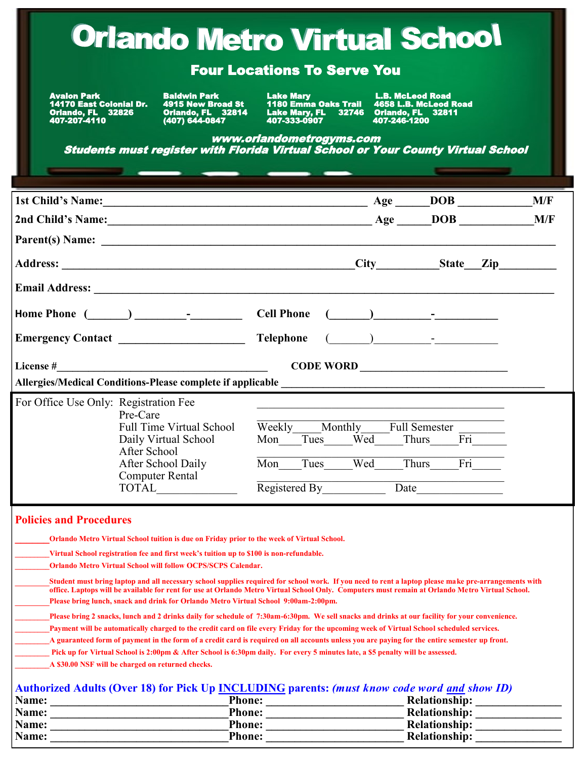| <b>Orlando Metro Virtual School</b>                                                                                                                                                                                                                        |                                                                                                                                                                                                                                                                                                                                                                                                                                                                                                                                                                                                                                     |                                                                                                                                              |              |                                                                                                               |  |  |
|------------------------------------------------------------------------------------------------------------------------------------------------------------------------------------------------------------------------------------------------------------|-------------------------------------------------------------------------------------------------------------------------------------------------------------------------------------------------------------------------------------------------------------------------------------------------------------------------------------------------------------------------------------------------------------------------------------------------------------------------------------------------------------------------------------------------------------------------------------------------------------------------------------|----------------------------------------------------------------------------------------------------------------------------------------------|--------------|---------------------------------------------------------------------------------------------------------------|--|--|
| <b>Four Locations To Serve You</b>                                                                                                                                                                                                                         |                                                                                                                                                                                                                                                                                                                                                                                                                                                                                                                                                                                                                                     |                                                                                                                                              |              |                                                                                                               |  |  |
| <b>Avalon Park</b><br><b>14170 East Colonial Dr.</b><br>Orlando, FL 32826<br>407-207-4110                                                                                                                                                                  | <b>Baldwin Park Expanditure 19</b><br>4915 New Broad St<br>Orlando, FL 32814<br>(407) 644-0847                                                                                                                                                                                                                                                                                                                                                                                                                                                                                                                                      | Lake Mary<br>1180 Emma Oaks Trail 4658 L.B. McLeod Road<br>Lake Mary, FL 32746 Orlando, FL 32811<br>407-333-0907<br>www.orlandometrogyms.com | 407-246-1200 |                                                                                                               |  |  |
|                                                                                                                                                                                                                                                            | Students must register with Florida Virtual School or Your County Virtual School<br>_________                                                                                                                                                                                                                                                                                                                                                                                                                                                                                                                                       |                                                                                                                                              |              |                                                                                                               |  |  |
|                                                                                                                                                                                                                                                            |                                                                                                                                                                                                                                                                                                                                                                                                                                                                                                                                                                                                                                     |                                                                                                                                              |              |                                                                                                               |  |  |
|                                                                                                                                                                                                                                                            |                                                                                                                                                                                                                                                                                                                                                                                                                                                                                                                                                                                                                                     |                                                                                                                                              |              |                                                                                                               |  |  |
|                                                                                                                                                                                                                                                            |                                                                                                                                                                                                                                                                                                                                                                                                                                                                                                                                                                                                                                     |                                                                                                                                              |              |                                                                                                               |  |  |
|                                                                                                                                                                                                                                                            |                                                                                                                                                                                                                                                                                                                                                                                                                                                                                                                                                                                                                                     |                                                                                                                                              |              |                                                                                                               |  |  |
|                                                                                                                                                                                                                                                            |                                                                                                                                                                                                                                                                                                                                                                                                                                                                                                                                                                                                                                     |                                                                                                                                              |              |                                                                                                               |  |  |
|                                                                                                                                                                                                                                                            |                                                                                                                                                                                                                                                                                                                                                                                                                                                                                                                                                                                                                                     |                                                                                                                                              |              |                                                                                                               |  |  |
|                                                                                                                                                                                                                                                            | Home Phone $(\_\_\_\_\_\_\_$ - $\_\_\_\_\_$ Cell Phone $(\_\_\_\_\_\_$ - $\_\_\_\_\_$                                                                                                                                                                                                                                                                                                                                                                                                                                                                                                                                               |                                                                                                                                              |              |                                                                                                               |  |  |
|                                                                                                                                                                                                                                                            |                                                                                                                                                                                                                                                                                                                                                                                                                                                                                                                                                                                                                                     |                                                                                                                                              |              |                                                                                                               |  |  |
|                                                                                                                                                                                                                                                            |                                                                                                                                                                                                                                                                                                                                                                                                                                                                                                                                                                                                                                     |                                                                                                                                              |              |                                                                                                               |  |  |
|                                                                                                                                                                                                                                                            |                                                                                                                                                                                                                                                                                                                                                                                                                                                                                                                                                                                                                                     |                                                                                                                                              |              |                                                                                                               |  |  |
|                                                                                                                                                                                                                                                            | For Office Use Only: Registration Fee<br>Pre-Care<br><b>Full Time Virtual School</b><br>Daily Virtual School<br>After School<br>After School Daily<br><b>Computer Rental</b><br>TOTAL                                                                                                                                                                                                                                                                                                                                                                                                                                               | Weekly Monthly Full Semester<br>Mon Tues Wed Thurs<br>Mon<br>Tues                                                                            | Wed          | <u> 1989 - Johann Stoff, amerikansk politiker (d. 1989)</u><br>$\overline{\text{Fri}}$<br><b>Thurs</b><br>Fri |  |  |
|                                                                                                                                                                                                                                                            |                                                                                                                                                                                                                                                                                                                                                                                                                                                                                                                                                                                                                                     | Registered By                                                                                                                                | Date         |                                                                                                               |  |  |
| <b>Policies and Procedures</b>                                                                                                                                                                                                                             |                                                                                                                                                                                                                                                                                                                                                                                                                                                                                                                                                                                                                                     |                                                                                                                                              |              |                                                                                                               |  |  |
|                                                                                                                                                                                                                                                            |                                                                                                                                                                                                                                                                                                                                                                                                                                                                                                                                                                                                                                     |                                                                                                                                              |              |                                                                                                               |  |  |
|                                                                                                                                                                                                                                                            | Orlando Metro Virtual School tuition is due on Friday prior to the week of Virtual School.<br>Virtual School registration fee and first week's tuition up to \$100 is non-refundable.<br><b>Orlando Metro Virtual School will follow OCPS/SCPS Calendar.</b>                                                                                                                                                                                                                                                                                                                                                                        |                                                                                                                                              |              |                                                                                                               |  |  |
|                                                                                                                                                                                                                                                            | Student must bring laptop and all necessary school supplies required for school work. If you need to rent a laptop please make pre-arrangements with<br>office. Laptops will be available for rent for use at Orlando Metro Virtual School Only. Computers must remain at Orlando Metro Virtual School.<br>Please bring lunch, snack and drink for Orlando Metro Virtual School 9:00am-2:00pm.                                                                                                                                                                                                                                      |                                                                                                                                              |              |                                                                                                               |  |  |
|                                                                                                                                                                                                                                                            | Please bring 2 snacks, lunch and 2 drinks daily for schedule of 7:30am-6:30pm. We sell snacks and drinks at our facility for your convenience.<br>Payment will be automatically charged to the credit card on file every Friday for the upcoming week of Virtual School scheduled services.<br>A guaranteed form of payment in the form of a credit card is required on all accounts unless you are paying for the entire semester up front.<br>Pick up for Virtual School is 2:00pm & After School is 6:30pm daily. For every 5 minutes late, a \$5 penalty will be assessed.<br>A \$30.00 NSF will be charged on returned checks. |                                                                                                                                              |              |                                                                                                               |  |  |
| Authorized Adults (Over 18) for Pick Up <b>INCLUDING</b> parents: (must know code word and show ID)<br><b>Phone:</b><br><b>Relationship:</b><br>Name:<br><u> 1986 - Jan Samuel Barbara, político e a f</u><br><u> 1980 - Jan Samuel Barbara, martin di</u> |                                                                                                                                                                                                                                                                                                                                                                                                                                                                                                                                                                                                                                     |                                                                                                                                              |              |                                                                                                               |  |  |
| Name:                                                                                                                                                                                                                                                      | <b>Phone:</b><br>the contract of the contract of the contract of the contract of the contract of                                                                                                                                                                                                                                                                                                                                                                                                                                                                                                                                    |                                                                                                                                              |              |                                                                                                               |  |  |
| Name:<br><b>Name:</b>                                                                                                                                                                                                                                      | Phone:<br><b>Phone:</b>                                                                                                                                                                                                                                                                                                                                                                                                                                                                                                                                                                                                             |                                                                                                                                              |              | <b>Relationship:</b><br><b>Relationship:</b>                                                                  |  |  |

 $\mathbf{L}$